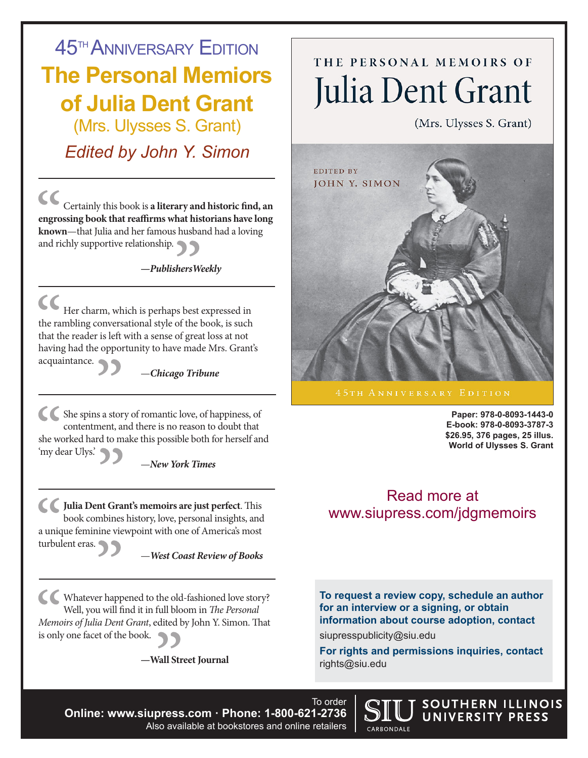**45<sup>TH</sup> ANNIVERSARY EDITION The Personal Memiors of Julia Dent Grant** (Mrs. Ulysses S. Grant)

*Edited by John Y. Simon*

 $cc$ Certainly this book is **a literary and historic find, an engrossing book that reaffirms what historians have long known**—that Julia and her famous husband had a loving and richly supportive relationship.

### **—***PublishersWeekly*

Her charm, which is perhaps best expressed in the rambling conversational style of the book, is such that the reader is left with a sense of great loss at not having had the opportunity to have made Mrs. Grant's acquaintance.

—*Chicago Tribune* 

She spins a story of romantic love, of happiness, of contentment, and there is no reason to doubt that she worked hard to make this possible both for herself and 'my dear Ulys.'

—*New York Times*

**Julia Dent Grant's memoirs are just perfect**. This book combines history, love, personal insights, and a unique feminine viewpoint with one of America's most turbulent eras.

—*West Coast Review of Books* 

Whatever happened to the old-fashioned love story? Well, you will find it in full bloom in *The Personal Memoirs of Julia Dent Grant*, edited by John Y. Simon. That is only one facet of the book.

 **—Wall Street Journal**

# THE PERSONAL MEMOIRS OF Julia Dent Grant

(Mrs. Ulysses S. Grant)



**Paper: 978-0-8093-1443-0 E-book: 978-0-8093-3787-3 \$26.95, 376 pages, 25 illus. World of Ulysses S. Grant**

SOUTHERN ILLINOIS UNIVERSITY PRESS

## Read more at www.siupress.com/jdgmemoirs

**To request a review copy, schedule an author for an interview or a signing, or obtain information about course adoption, contact** siupresspublicity@siu.edu

**For rights and permissions inquiries, contact** rights@siu.edu

CARBONDALE

To order **Online: www.siupress.com · Phone: 1-800-621-2736** Also available at bookstores and online retailers